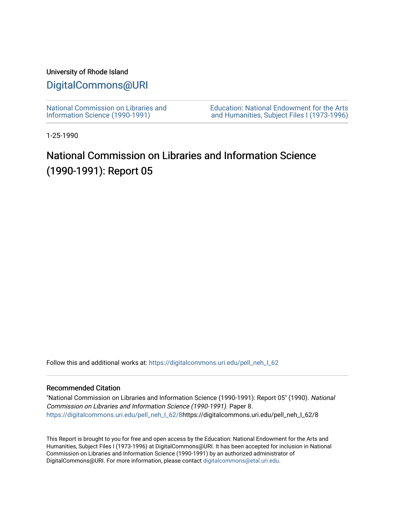## University of Rhode Island

## [DigitalCommons@URI](https://digitalcommons.uri.edu/)

[National Commission on Libraries and](https://digitalcommons.uri.edu/pell_neh_I_62) [Information Science \(1990-1991\)](https://digitalcommons.uri.edu/pell_neh_I_62) 

[Education: National Endowment for the Arts](https://digitalcommons.uri.edu/pell_neh_I)  [and Humanities, Subject Files I \(1973-1996\)](https://digitalcommons.uri.edu/pell_neh_I) 

1-25-1990

# National Commission on Libraries and Information Science (1990-1991): Report 05

Follow this and additional works at: https://digitalcommons.uri.edu/pell\_neh\_I\_62

## Recommended Citation

"National Commission on Libraries and Information Science (1990-1991): Report 05" (1990). National Commission on Libraries and Information Science (1990-1991). Paper 8. [https://digitalcommons.uri.edu/pell\\_neh\\_I\\_62/8h](https://digitalcommons.uri.edu/pell_neh_I_62/8?utm_source=digitalcommons.uri.edu%2Fpell_neh_I_62%2F8&utm_medium=PDF&utm_campaign=PDFCoverPages)ttps://digitalcommons.uri.edu/pell\_neh\_I\_62/8

This Report is brought to you for free and open access by the Education: National Endowment for the Arts and Humanities, Subject Files I (1973-1996) at DigitalCommons@URI. It has been accepted for inclusion in National Commission on Libraries and Information Science (1990-1991) by an authorized administrator of DigitalCommons@URI. For more information, please contact [digitalcommons@etal.uri.edu.](mailto:digitalcommons@etal.uri.edu)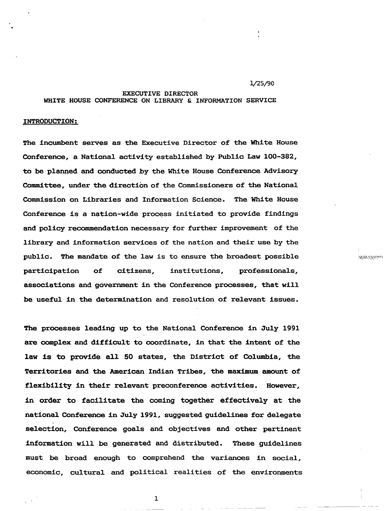#### 1/25/90

#### EXECUTIVE DIRECTOR WHITE HOUSE CONFERENCE ON LIBRARY & INFORMATION SERVICE

### INTRODUCTION:

The incumbent serves as the Executive Director of the White House Conference, a Nationa1 activity established by Public Law 100-382, to be planned and conducted by the White House Conference Advisory Comndttee, under the direction of the Commissioners of the National Commission on Libraries and Information Science. The White House Conference is a nation-wide process initiated to provide findings and policy recommendation necessary for further improvement of the library and information services of the nation and their use by the public. The mandate of the law is to ensure the broadest possible participation of citizens, institutions, professionals, associations and government in the Conference processes, that will be useful in the determination and resolution of relevant issues.

The processes leading up to the National Conference in July 1991 are complex and difficult to coordinate, in that the intent of the law is to provide all 50 states, the District of Columbia, the Territories and the American Indian Tribes, the maximum amount of flexibility in their relevant preconference activities. However, in order to facilitate the coming together effectively at the national Conference in July 1991, suggested guidelines for delegate selection, Conference goals and objectives and other pertinent information will be generated and distributed. These guidelines must be broad enough to comprehend the variances in social, economic, cultural and political realities of the environments 1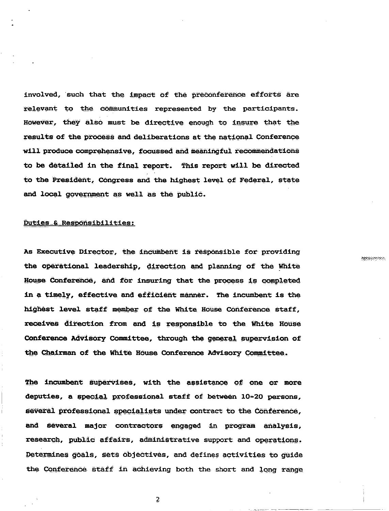involved, such that the impact of the preconference efforts are relevant to the communities represented by the participants. However, they also must be directive enough to insure that the results of the process and deliberations at the national Conference will produce comprehensive, focussed and meaningful recommendations to be detailed in the final report. This report will be directed to the President, Congress and the highest level of Federal, state and local government as well as the public.

## Duties & Responsibilities:

As Executive Director, the incumbent is responsible for providing the operational leadership, direction and planning of the White House Conference, and for insuring that the process is completed in a timely, effective and efficient manner. The incumbent is the highest level staff member of the White House Conference staff, receives direction from and is responsible to the White House Conference Advisory Committee, through the general supervision of the Chairman of the White House Conference Advisory Committee.

**PERSONAL** 

The incumbent supervises, with the assistance of one or more deputies, a special professional staff of between 10-20 persons, several professional specialists under contract to the Conference, and several major contractors engaged in program analysis, research, public affairs, administrative support and operations. Determines goals, sets objectives, and defines activities to guide the Conference staff in achieving both the short and long range

 $\overline{2}$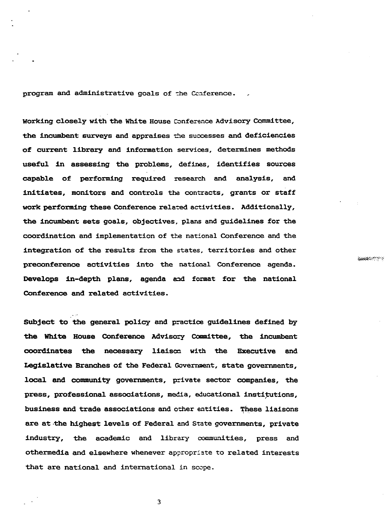program and administrative goals of the Conference.

Working closely with the White House Conference Advisory Committee, the incumbent surveys and appraises the successes and deficiencies of current library and information services, determines methods useful in assessing the problems, defines, identifies sources capable of performing required research and analysis, and initiates, monitors and controls the contracts, grants or staff work performing these Conference related activities. Additionally, the incumbent sets goals, objectives, plans and guidelines for the coordination and implementation of the national Conference and the integration of the results from the states, territories and other preconference activities into the national Conference agenda. Develops in-depth plans, agenda and format for the national Conference and related activities.

00000020223

Subject to the general policy and practice guidelines defined by the White House Conference Advisory Committee, the incumbent coordinates the necessary liaison with the Executive and Legislative Branches of the Federal Govermient, state governments, local and community governments, private sector companies, the press, professional associations, media, educational institutions, business and trade associations and other entities. These liaisons are at the highest levels of Federal and State governments, private industry, the academic and library communities, press and othermedia and elsewhere whenever appropriate to related interests that are national and international in scope.

3